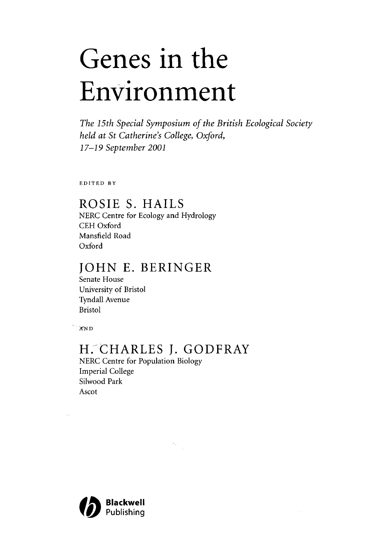# Genes in the Environment

*The 15th Special Symposium of the British Ecological Society held at St Catherine's College, Oxford, 17-19 September 2001*

EDITED BY

## ROSIE S. HAILS

NERC Centre for Ecology and Hydrology CEH Oxford Mansfield Road Oxford

# JOHN E. BERINGER

Senate House University of Bristol Tyndall Avenue Bristol

AfND

 $\sim$  .

## H. CHARLES J. GODFRAY

 $\frac{1}{2} \frac{1}{2}$ 

NERC Centre for Population Biology Imperial College Silwood Park Ascot

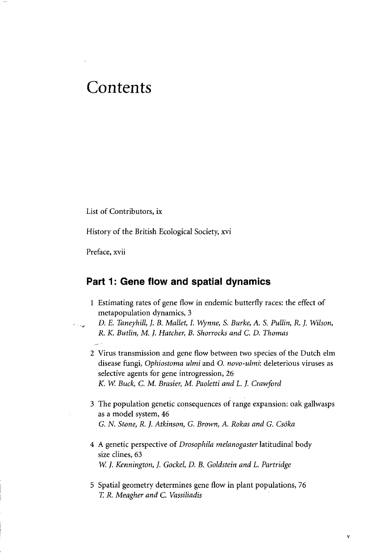# Contents

List of Contributors, ix

History of the British Ecological Society, xvi

Preface, xvii

## **Part 1: Gene flow and spatial dynamics**

- 1 Estimating rates of gene flow in endemic butterfly races: the effect of metapopulation dynamics, 3
- *D. E. Taneyhill, }. B. Mallet, I. Wynne, S. Burke, A. S. Pullin, R. J. Wilson, R. K. Butlin, M. J. Hatcher, B. Shorrocks and C. D. Thomas*
- 2 Virus transmission and gene flow between two species of the Dutch elm disease fungi, *Ophiostoma ulmi* and O. *novo-ulmi:* deleterious viruses as selective agents for gene introgression, 26 *K. W Buck, C. M. Brasier, M. Paoletti and L. J. Crawford*
- 3 The population genetic consequences of range expansion: oak gallwasps as a model system, 46 *G. N. Stone, R. J. Atkinson, G. Brown, A. Rokas and G. Csoka*
- 4 A genetic perspective of *Drosophila melanogaster* latitudinal body size clines, 63 *W. J. Kennington, J. Gockel, D. B. Goldstein and L. Partridge*
- 5 Spatial geometry determines gene flow in plant populations, 76 *T. R. Meagher and C. Vassiliadis*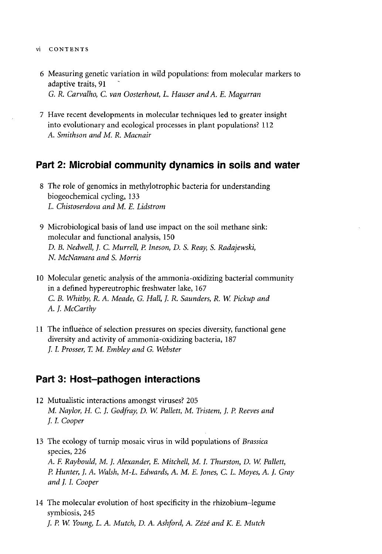- vi CONTENTS
	- 6 Measuring genetic variation in wild populations: from molecular markers to adaptive traits, 91 *G. R. Carvalho, C. van Oosterhout, L. Hauser and A. E. Magurran*
	- 7 Have recent developments in molecular techniques led to greater insight into evolutionary and ecological processes in plant populations? 112 *A. Smithson and M. R. Macnair*

### **Part 2: Microbial community dynamics in soils and water**

- 8 The role of genomics in methylotrophic bacteria for understanding biogeochemical cycling, 133 *L. Chistoserdova and M. E. Lidstrom*
- 9 Microbiological basis of land use impact on the soil methane sink: molecular and functional analysis, 150 *D. B. Nedwell, J. C. Murrell, P. Ineson, D. S. Reay, S. Radajewski, N. McNamara and S. Morris*
- 10 Molecular genetic analysis of the ammonia-oxidizing bacterial community in a defined hypereutrophic freshwater lake, 167 *C. B. Whitby, R. A. Meade, G. Hall, J. R. Saunders, R. W. Pickup and A. J. McCarthy*
- 11 The influence of selection pressures on species diversity, functional gene diversity and activity of ammonia-oxidizing bacteria, 187 /. /. *Prosser, T. M. Embley and G. Webster*

#### **Part 3: Host-pathogen interactions**

- 12 Mutualistic interactions amongst viruses? 205 *M. Naylor, H. C. }. Godfray, D. W. Pallett, M. Tristem, J. P. Reeves and J. I. Cooper*
- 13 The ecology of turnip mosaic virus in wild populations of *Brassica* species, 226 *A. F. Raybould, M. J. Alexander, E. Mitchell, M. I. Thurston, D. W. Pallett, P. Hunter, }. A. Walsh, M-L. Edwards, A. M. E. Jones, C. L Moyes, A. J. Gray and J. I, Cooper*
- 14 The molecular evolution of host specificity in the rhizobium-legume symbiosis, 245 /. *P. W. Young, L. A. Mutch, D. A. Ashford, A. Zeze and K. E. Mutch*